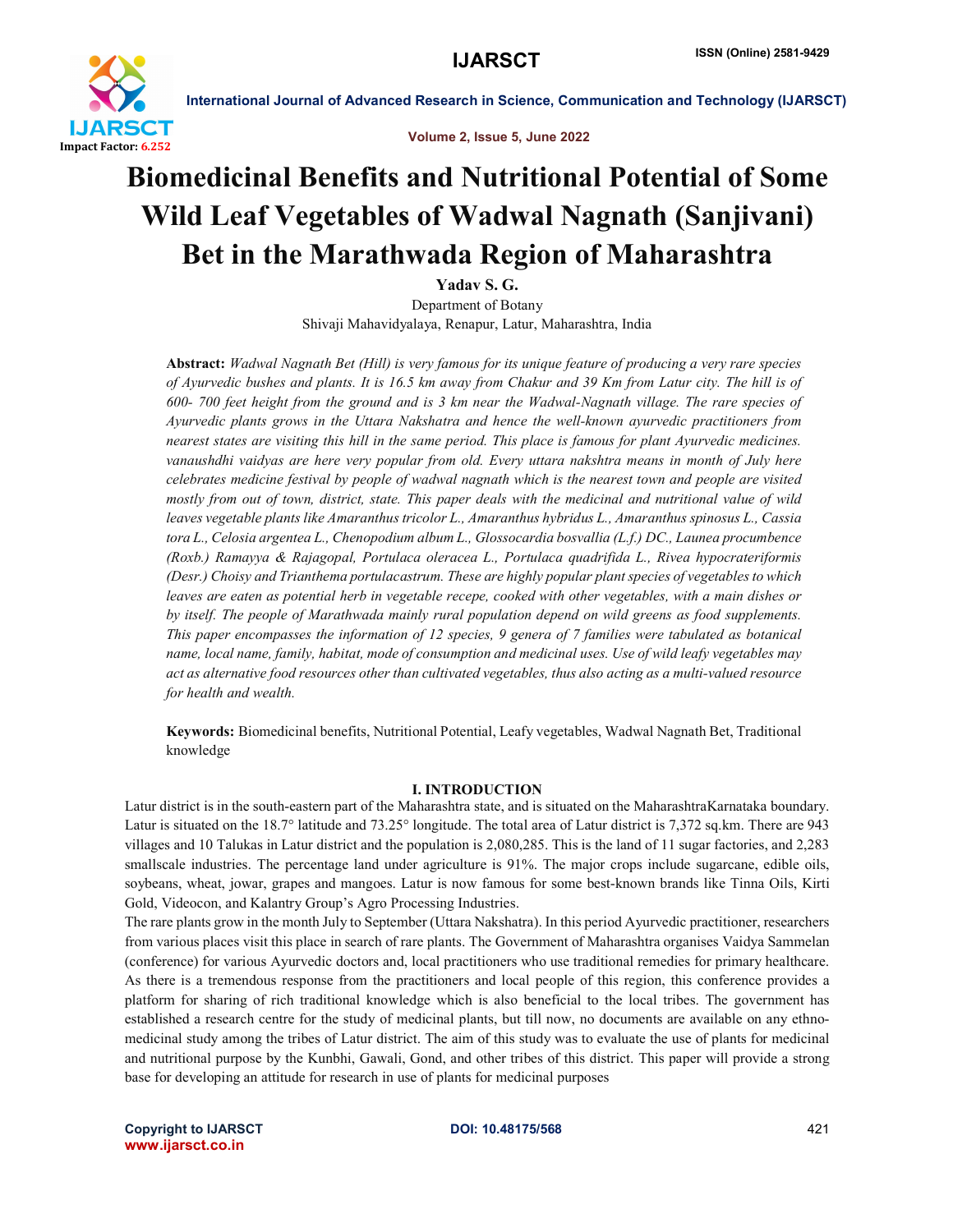



# Biomedicinal Benefits and Nutritional Potential of Some Wild Leaf Vegetables of Wadwal Nagnath (Sanjivani) Bet in the Marathwada Region of Maharashtra

Yadav S. G.

Department of Botany Shivaji Mahavidyalaya, Renapur, Latur, Maharashtra, India

Abstract: *Wadwal Nagnath Bet (Hill) is very famous for its unique feature of producing a very rare species of Ayurvedic bushes and plants. It is 16.5 km away from Chakur and 39 Km from Latur city. The hill is of 600- 700 feet height from the ground and is 3 km near the Wadwal-Nagnath village. The rare species of Ayurvedic plants grows in the Uttara Nakshatra and hence the well-known ayurvedic practitioners from nearest states are visiting this hill in the same period. This place is famous for plant Ayurvedic medicines. vanaushdhi vaidyas are here very popular from old. Every uttara nakshtra means in month of July here celebrates medicine festival by people of wadwal nagnath which is the nearest town and people are visited mostly from out of town, district, state. This paper deals with the medicinal and nutritional value of wild leaves vegetable plants like Amaranthus tricolor L., Amaranthus hybridus L., Amaranthus spinosus L., Cassia tora L., Celosia argentea L., Chenopodium album L., Glossocardia bosvallia (L.f.) DC., Launea procumbence (Roxb.) Ramayya & Rajagopal, Portulaca oleracea L., Portulaca quadrifida L., Rivea hypocrateriformis (Desr.) Choisy and Trianthema portulacastrum. These are highly popular plant species of vegetables to which leaves are eaten as potential herb in vegetable recepe, cooked with other vegetables, with a main dishes or by itself. The people of Marathwada mainly rural population depend on wild greens as food supplements. This paper encompasses the information of 12 species, 9 genera of 7 families were tabulated as botanical name, local name, family, habitat, mode of consumption and medicinal uses. Use of wild leafy vegetables may act as alternative food resources other than cultivated vegetables, thus also acting as a multi-valued resource for health and wealth.*

Keywords: Biomedicinal benefits, Nutritional Potential, Leafy vegetables, Wadwal Nagnath Bet, Traditional knowledge

### I. INTRODUCTION

Latur district is in the south-eastern part of the Maharashtra state, and is situated on the MaharashtraKarnataka boundary. Latur is situated on the 18.7° latitude and 73.25° longitude. The total area of Latur district is 7,372 sq.km. There are 943 villages and 10 Talukas in Latur district and the population is 2,080,285. This is the land of 11 sugar factories, and 2,283 smallscale industries. The percentage land under agriculture is 91%. The major crops include sugarcane, edible oils, soybeans, wheat, jowar, grapes and mangoes. Latur is now famous for some best-known brands like Tinna Oils, Kirti Gold, Videocon, and Kalantry Group's Agro Processing Industries.

The rare plants grow in the month July to September (Uttara Nakshatra). In this period Ayurvedic practitioner, researchers from various places visit this place in search of rare plants. The Government of Maharashtra organises Vaidya Sammelan (conference) for various Ayurvedic doctors and, local practitioners who use traditional remedies for primary healthcare. As there is a tremendous response from the practitioners and local people of this region, this conference provides a platform for sharing of rich traditional knowledge which is also beneficial to the local tribes. The government has established a research centre for the study of medicinal plants, but till now, no documents are available on any ethnomedicinal study among the tribes of Latur district. The aim of this study was to evaluate the use of plants for medicinal and nutritional purpose by the Kunbhi, Gawali, Gond, and other tribes of this district. This paper will provide a strong base for developing an attitude for research in use of plants for medicinal purposes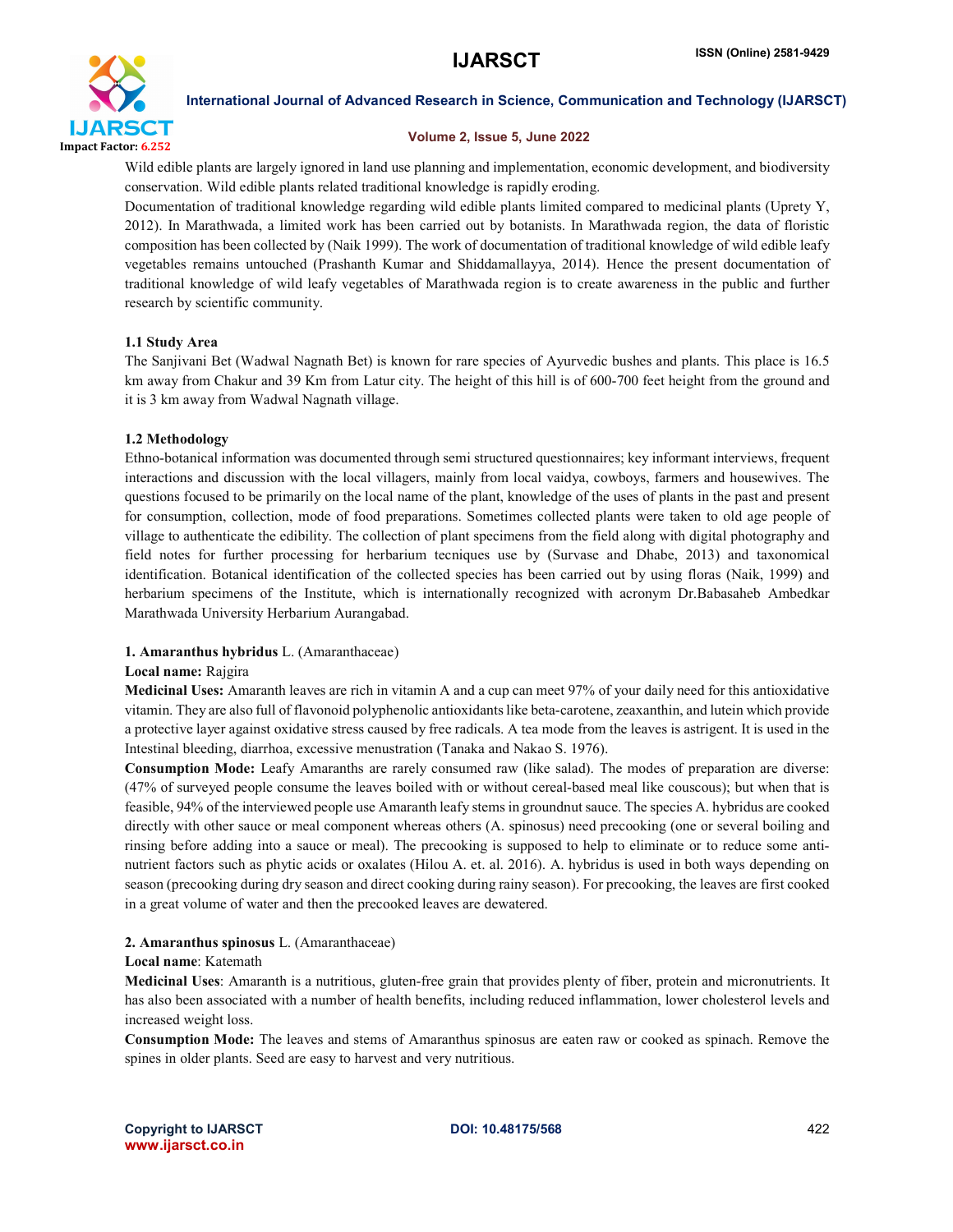

#### Volume 2, Issue 5, June 2022

Wild edible plants are largely ignored in land use planning and implementation, economic development, and biodiversity conservation. Wild edible plants related traditional knowledge is rapidly eroding.

Documentation of traditional knowledge regarding wild edible plants limited compared to medicinal plants (Uprety Y, 2012). In Marathwada, a limited work has been carried out by botanists. In Marathwada region, the data of floristic composition has been collected by (Naik 1999). The work of documentation of traditional knowledge of wild edible leafy vegetables remains untouched (Prashanth Kumar and Shiddamallayya, 2014). Hence the present documentation of traditional knowledge of wild leafy vegetables of Marathwada region is to create awareness in the public and further research by scientific community.

# 1.1 Study Area

The Sanjivani Bet (Wadwal Nagnath Bet) is known for rare species of Ayurvedic bushes and plants. This place is 16.5 km away from Chakur and 39 Km from Latur city. The height of this hill is of 600-700 feet height from the ground and it is 3 km away from Wadwal Nagnath village.

# 1.2 Methodology

Ethno-botanical information was documented through semi structured questionnaires; key informant interviews, frequent interactions and discussion with the local villagers, mainly from local vaidya, cowboys, farmers and housewives. The questions focused to be primarily on the local name of the plant, knowledge of the uses of plants in the past and present for consumption, collection, mode of food preparations. Sometimes collected plants were taken to old age people of village to authenticate the edibility. The collection of plant specimens from the field along with digital photography and field notes for further processing for herbarium tecniques use by (Survase and Dhabe, 2013) and taxonomical identification. Botanical identification of the collected species has been carried out by using floras (Naik, 1999) and herbarium specimens of the Institute, which is internationally recognized with acronym Dr.Babasaheb Ambedkar Marathwada University Herbarium Aurangabad.

### 1. Amaranthus hybridus L. (Amaranthaceae)

### Local name: Rajgira

Medicinal Uses: Amaranth leaves are rich in vitamin A and a cup can meet 97% of your daily need for this antioxidative vitamin. They are also full of flavonoid polyphenolic antioxidantslike beta-carotene, zeaxanthin, and lutein which provide a protective layer against oxidative stress caused by free radicals. A tea mode from the leaves is astrigent. It is used in the Intestinal bleeding, diarrhoa, excessive menustration (Tanaka and Nakao S. 1976).

Consumption Mode: Leafy Amaranths are rarely consumed raw (like salad). The modes of preparation are diverse: (47% of surveyed people consume the leaves boiled with or without cereal-based meal like couscous); but when that is feasible, 94% of the interviewed people use Amaranth leafy stems in groundnut sauce. The species A. hybridus are cooked directly with other sauce or meal component whereas others (A. spinosus) need precooking (one or several boiling and rinsing before adding into a sauce or meal). The precooking is supposed to help to eliminate or to reduce some antinutrient factors such as phytic acids or oxalates (Hilou A. et. al. 2016). A. hybridus is used in both ways depending on season (precooking during dry season and direct cooking during rainy season). For precooking, the leaves are first cooked in a great volume of water and then the precooked leaves are dewatered.

# 2. Amaranthus spinosus L. (Amaranthaceae)

### Local name: Katemath

Medicinal Uses: Amaranth is a nutritious, gluten-free grain that provides plenty of fiber, protein and micronutrients. It has also been associated with a number of health benefits, including reduced inflammation, lower cholesterol levels and increased weight loss.

Consumption Mode: The leaves and stems of Amaranthus spinosus are eaten raw or cooked as spinach. Remove the spines in older plants. Seed are easy to harvest and very nutritious.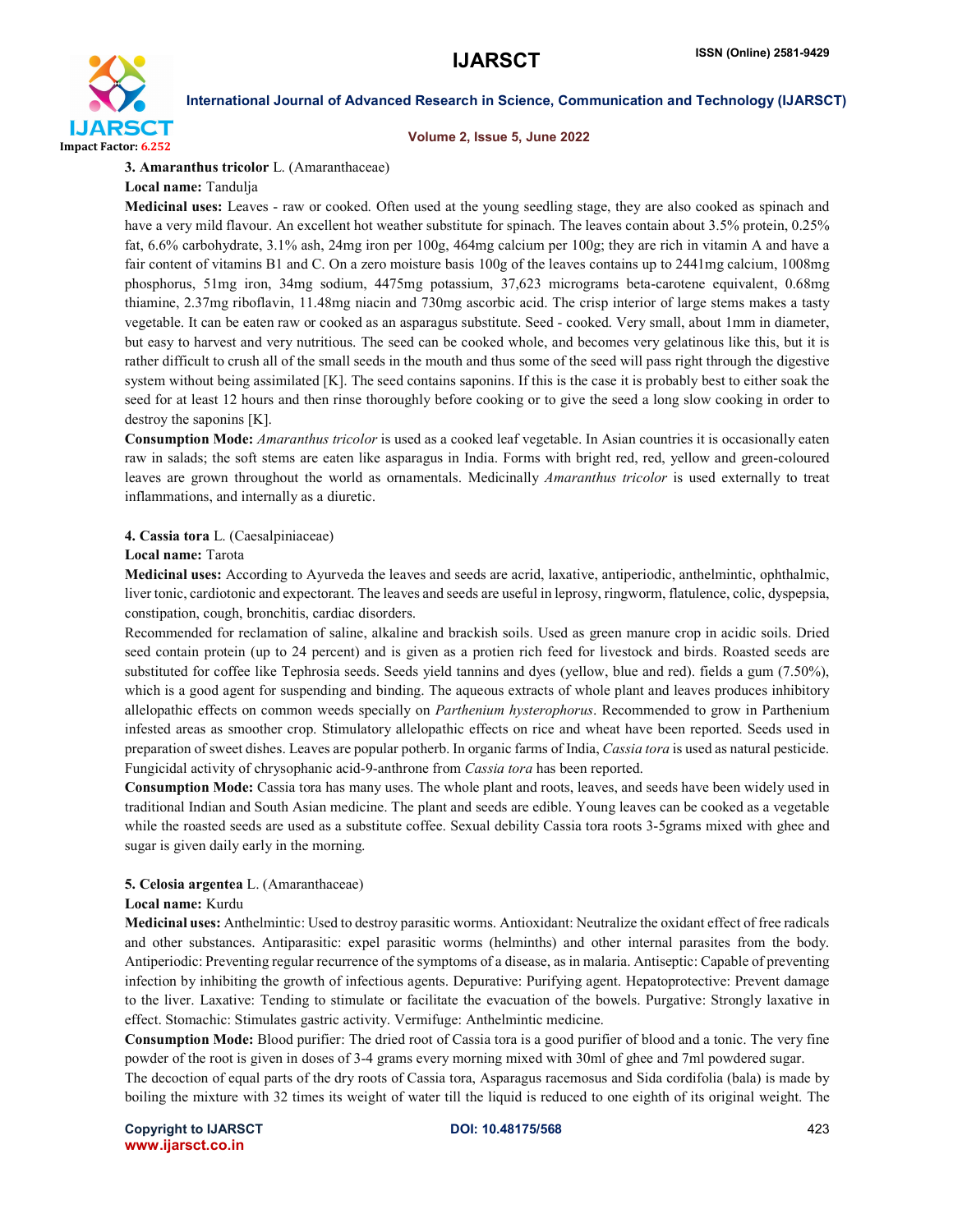

#### Volume 2, Issue 5, June 2022

3. Amaranthus tricolor L. (Amaranthaceae)

Local name: Tandulja

Medicinal uses: Leaves - raw or cooked. Often used at the young seedling stage, they are also cooked as spinach and have a very mild flavour. An excellent hot weather substitute for spinach. The leaves contain about 3.5% protein, 0.25% fat, 6.6% carbohydrate, 3.1% ash, 24mg iron per 100g, 464mg calcium per 100g; they are rich in vitamin A and have a fair content of vitamins B1 and C. On a zero moisture basis 100g of the leaves contains up to 2441mg calcium, 1008mg phosphorus, 51mg iron, 34mg sodium, 4475mg potassium, 37,623 micrograms beta-carotene equivalent, 0.68mg thiamine, 2.37mg riboflavin, 11.48mg niacin and 730mg ascorbic acid. The crisp interior of large stems makes a tasty vegetable. It can be eaten raw or cooked as an asparagus substitute. Seed - cooked. Very small, about 1mm in diameter, but easy to harvest and very nutritious. The seed can be cooked whole, and becomes very gelatinous like this, but it is rather difficult to crush all of the small seeds in the mouth and thus some of the seed will pass right through the digestive system without being assimilated [K]. The seed contains saponins. If this is the case it is probably best to either soak the seed for at least 12 hours and then rinse thoroughly before cooking or to give the seed a long slow cooking in order to destroy the saponins [K].

Consumption Mode: *Amaranthus tricolor* is used as a cooked leaf vegetable. In Asian countries it is occasionally eaten raw in salads; the soft stems are eaten like asparagus in India. Forms with bright red, red, yellow and green-coloured leaves are grown throughout the world as ornamentals. Medicinally *Amaranthus tricolor* is used externally to treat inflammations, and internally as a diuretic.

### 4. Cassia tora L. (Caesalpiniaceae)

#### Local name: Tarota

Medicinal uses: According to Ayurveda the leaves and seeds are acrid, laxative, antiperiodic, anthelmintic, ophthalmic, liver tonic, cardiotonic and expectorant. The leaves and seeds are useful in leprosy, ringworm, flatulence, colic, dyspepsia, constipation, cough, bronchitis, cardiac disorders.

Recommended for reclamation of saline, alkaline and brackish soils. Used as green manure crop in acidic soils. Dried seed contain protein (up to 24 percent) and is given as a protien rich feed for livestock and birds. Roasted seeds are substituted for coffee like Tephrosia seeds. Seeds yield tannins and dyes (yellow, blue and red). fields a gum (7.50%), which is a good agent for suspending and binding. The aqueous extracts of whole plant and leaves produces inhibitory allelopathic effects on common weeds specially on *Parthenium hysterophorus*. Recommended to grow in Parthenium infested areas as smoother crop. Stimulatory allelopathic effects on rice and wheat have been reported. Seeds used in preparation of sweet dishes. Leaves are popular potherb. In organic farms of India, *Cassia tora* is used as natural pesticide. Fungicidal activity of chrysophanic acid-9-anthrone from *Cassia tora* has been reported.

Consumption Mode: Cassia tora has many uses. The whole plant and roots, leaves, and seeds have been widely used in traditional Indian and South Asian medicine. The plant and seeds are edible. Young leaves can be cooked as a vegetable while the roasted seeds are used as a substitute coffee. Sexual debility Cassia tora roots 3-5grams mixed with ghee and sugar is given daily early in the morning.

### 5. Celosia argentea L. (Amaranthaceae)

#### Local name: Kurdu

Medicinal uses: Anthelmintic: Used to destroy parasitic worms. Antioxidant: Neutralize the oxidant effect of free radicals and other substances. Antiparasitic: expel parasitic worms (helminths) and other internal parasites from the body. Antiperiodic: Preventing regular recurrence of the symptoms of a disease, as in malaria. Antiseptic: Capable of preventing infection by inhibiting the growth of infectious agents. Depurative: Purifying agent. Hepatoprotective: Prevent damage to the liver. Laxative: Tending to stimulate or facilitate the evacuation of the bowels. Purgative: Strongly laxative in effect. Stomachic: Stimulates gastric activity. Vermifuge: Anthelmintic medicine.

Consumption Mode: Blood purifier: The dried root of Cassia tora is a good purifier of blood and a tonic. The very fine powder of the root is given in doses of 3-4 grams every morning mixed with 30ml of ghee and 7ml powdered sugar.

The decoction of equal parts of the dry roots of Cassia tora, Asparagus racemosus and Sida cordifolia (bala) is made by boiling the mixture with 32 times its weight of water till the liquid is reduced to one eighth of its original weight. The

Copyright to IJARSCT DOI: 10.48175/568 423 www.ijarsct.co.in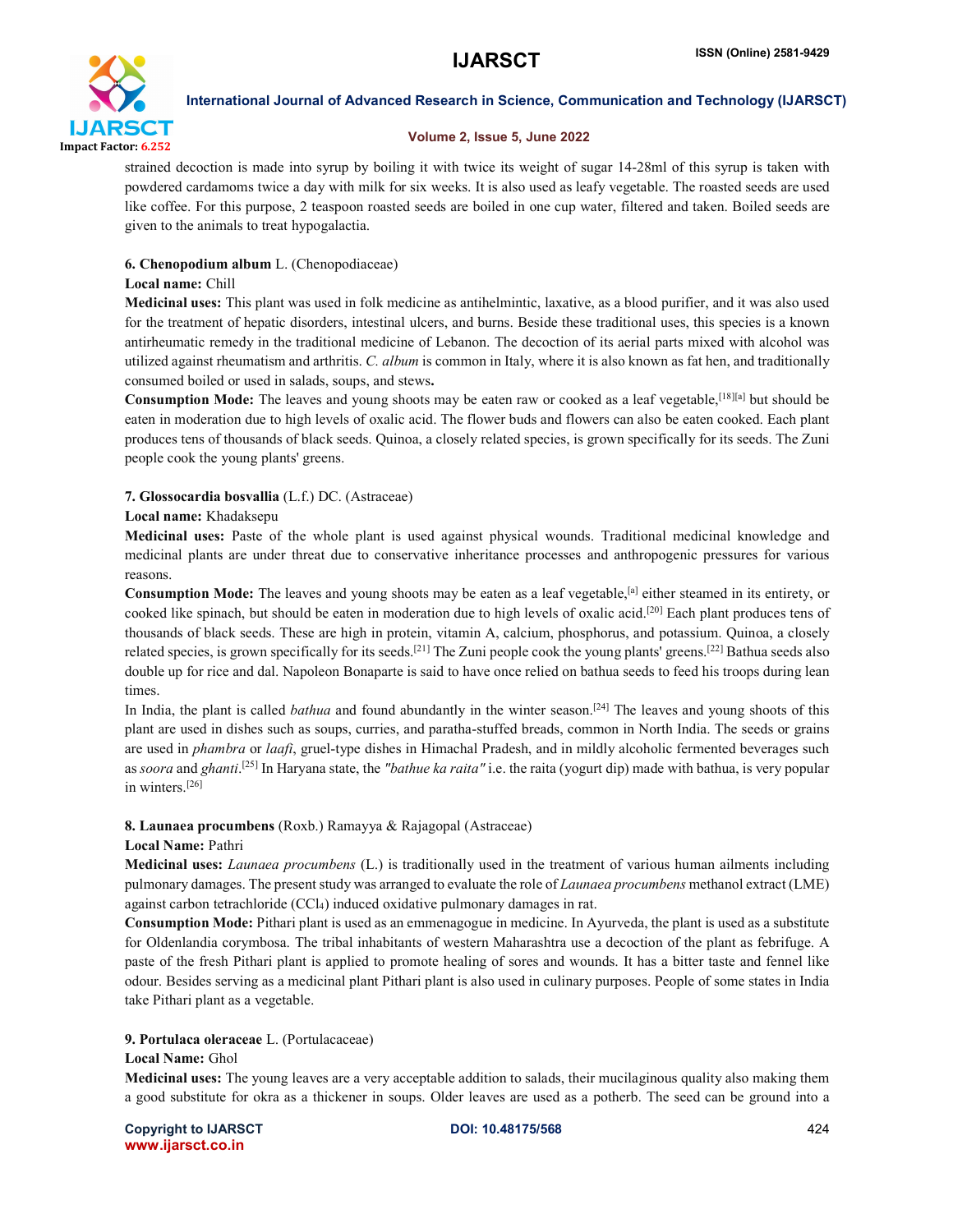

# Volume 2, Issue 5, June 2022

strained decoction is made into syrup by boiling it with twice its weight of sugar 14-28ml of this syrup is taken with powdered cardamoms twice a day with milk for six weeks. It is also used as leafy vegetable. The roasted seeds are used like coffee. For this purpose, 2 teaspoon roasted seeds are boiled in one cup water, filtered and taken. Boiled seeds are given to the animals to treat hypogalactia.

# 6. Chenopodium album L. (Chenopodiaceae)

### Local name: Chill

Medicinal uses: This plant was used in folk medicine as antihelmintic, laxative, as a blood purifier, and it was also used for the treatment of hepatic disorders, intestinal ulcers, and burns. Beside these traditional uses, this species is a known antirheumatic remedy in the traditional medicine of Lebanon. The decoction of its aerial parts mixed with alcohol was utilized against rheumatism and arthritis. *C. album* is common in Italy, where it is also known as fat hen, and traditionally consumed boiled or used in salads, soups, and stews.

Consumption Mode: The leaves and young shoots may be eaten raw or cooked as a leaf vegetable,<sup>[18][a]</sup> but should be eaten in moderation due to high levels of oxalic acid. The flower buds and flowers can also be eaten cooked. Each plant produces tens of thousands of black seeds. Quinoa, a closely related species, is grown specifically for its seeds. The Zuni people cook the young plants' greens.

# 7. Glossocardia bosvallia (L.f.) DC. (Astraceae)

### Local name: Khadaksepu

Medicinal uses: Paste of the whole plant is used against physical wounds. Traditional medicinal knowledge and medicinal plants are under threat due to conservative inheritance processes and anthropogenic pressures for various reasons.

Consumption Mode: The leaves and young shoots may be eaten as a leaf vegetable,<sup>[a]</sup> either steamed in its entirety, or cooked like spinach, but should be eaten in moderation due to high levels of oxalic acid.<sup>[20]</sup> Each plant produces tens of thousands of black seeds. These are high in protein, vitamin A, calcium, phosphorus, and potassium. Quinoa, a closely related species, is grown specifically for its seeds.<sup>[21]</sup> The Zuni people cook the young plants' greens.<sup>[22]</sup> Bathua seeds also double up for rice and dal. Napoleon Bonaparte is said to have once relied on bathua seeds to feed his troops during lean times.

In India, the plant is called *bathua* and found abundantly in the winter season.<sup>[24]</sup> The leaves and young shoots of this plant are used in dishes such as soups, curries, and paratha-stuffed breads, common in North India. The seeds or grains are used in *phambra* or *laafi*, gruel-type dishes in Himachal Pradesh, and in mildly alcoholic fermented beverages such as *soora* and *ghanti*. [25] In Haryana state, the *"bathue ka raita"* i.e. the raita (yogurt dip) made with bathua, is very popular in winters.[26]

# 8. Launaea procumbens (Roxb.) Ramayya & Rajagopal (Astraceae)

### Local Name: Pathri

Medicinal uses: *Launaea procumbens* (L.) is traditionally used in the treatment of various human ailments including pulmonary damages. The present study was arranged to evaluate the role of *Launaea procumbens* methanol extract (LME) against carbon tetrachloride (CCl4) induced oxidative pulmonary damages in rat.

Consumption Mode: Pithari plant is used as an emmenagogue in medicine. In Ayurveda, the plant is used as a substitute for Oldenlandia corymbosa. The tribal inhabitants of western Maharashtra use a decoction of the plant as febrifuge. A paste of the fresh Pithari plant is applied to promote healing of sores and wounds. It has a bitter taste and fennel like odour. Besides serving as a medicinal plant Pithari plant is also used in culinary purposes. People of some states in India take Pithari plant as a vegetable.

# 9. Portulaca oleraceae L. (Portulacaceae)

### Local Name: Ghol

Medicinal uses: The young leaves are a very acceptable addition to salads, their mucilaginous quality also making them a good substitute for okra as a thickener in soups. Older leaves are used as a potherb. The seed can be ground into a

Copyright to IJARSCT DOI: 10.48175/568 424 www.ijarsct.co.in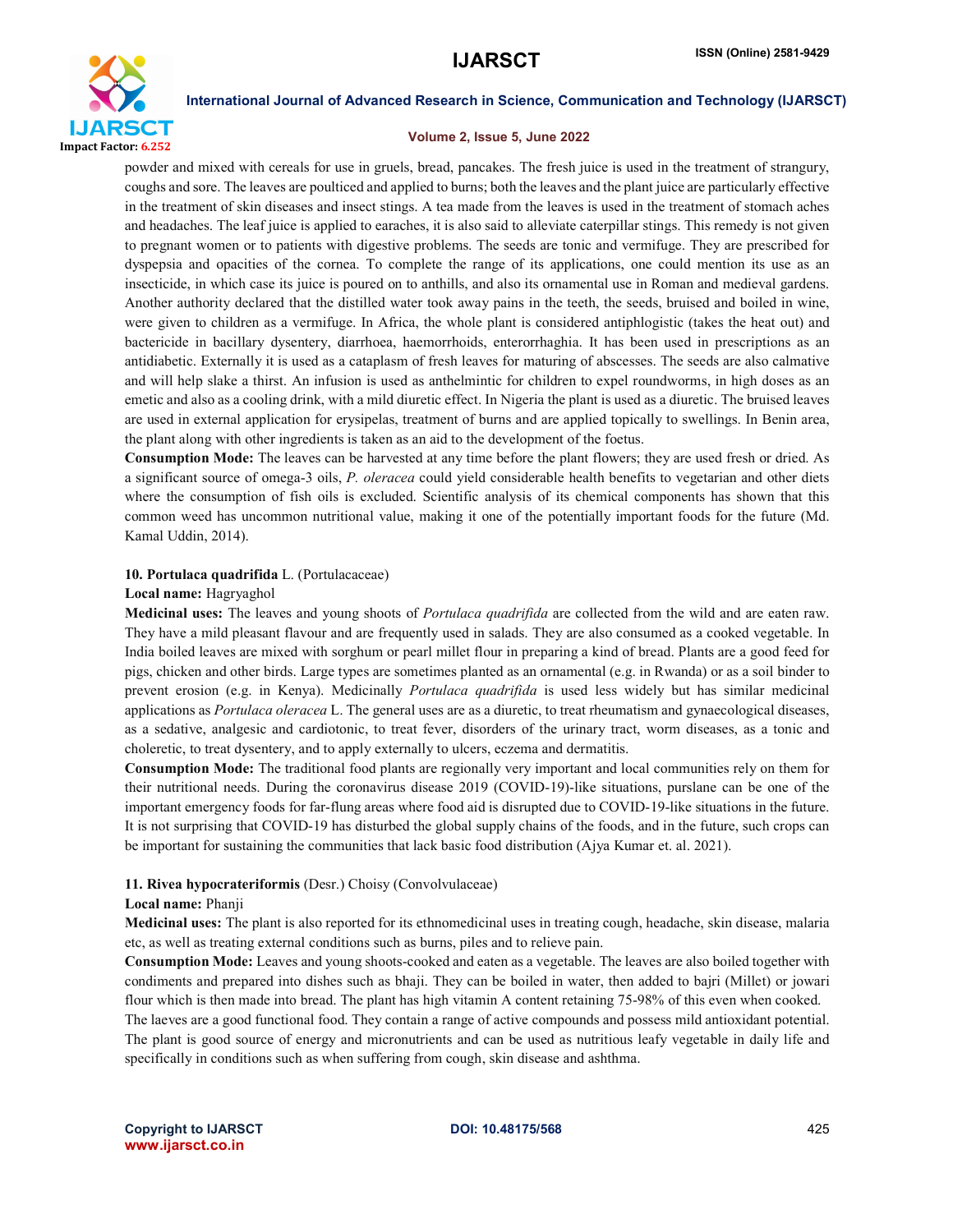

#### Volume 2, Issue 5, June 2022

powder and mixed with cereals for use in gruels, bread, pancakes. The fresh juice is used in the treatment of strangury, coughs and sore. The leaves are poulticed and applied to burns; both the leaves and the plant juice are particularly effective in the treatment of skin diseases and insect stings. A tea made from the leaves is used in the treatment of stomach aches and headaches. The leaf juice is applied to earaches, it is also said to alleviate caterpillar stings. This remedy is not given to pregnant women or to patients with digestive problems. The seeds are tonic and vermifuge. They are prescribed for dyspepsia and opacities of the cornea. To complete the range of its applications, one could mention its use as an insecticide, in which case its juice is poured on to anthills, and also its ornamental use in Roman and medieval gardens. Another authority declared that the distilled water took away pains in the teeth, the seeds, bruised and boiled in wine, were given to children as a vermifuge. In Africa, the whole plant is considered antiphlogistic (takes the heat out) and bactericide in bacillary dysentery, diarrhoea, haemorrhoids, enterorrhaghia. It has been used in prescriptions as an antidiabetic. Externally it is used as a cataplasm of fresh leaves for maturing of abscesses. The seeds are also calmative and will help slake a thirst. An infusion is used as anthelmintic for children to expel roundworms, in high doses as an emetic and also as a cooling drink, with a mild diuretic effect. In Nigeria the plant is used as a diuretic. The bruised leaves are used in external application for erysipelas, treatment of burns and are applied topically to swellings. In Benin area, the plant along with other ingredients is taken as an aid to the development of the foetus.

Consumption Mode: The leaves can be harvested at any time before the plant flowers; they are used fresh or dried. As a significant source of omega-3 oils, *P. oleracea* could yield considerable health benefits to vegetarian and other diets where the consumption of fish oils is excluded. Scientific analysis of its chemical components has shown that this common weed has uncommon nutritional value, making it one of the potentially important foods for the future (Md. Kamal Uddin, 2014).

#### 10. Portulaca quadrifida L. (Portulacaceae)

#### Local name: Hagryaghol

Medicinal uses: The leaves and young shoots of *Portulaca quadrifida* are collected from the wild and are eaten raw. They have a mild pleasant flavour and are frequently used in salads. They are also consumed as a cooked vegetable. In India boiled leaves are mixed with sorghum or pearl millet flour in preparing a kind of bread. Plants are a good feed for pigs, chicken and other birds. Large types are sometimes planted as an ornamental (e.g. in Rwanda) or as a soil binder to prevent erosion (e.g. in Kenya). Medicinally *Portulaca quadrifida* is used less widely but has similar medicinal applications as *Portulaca oleracea* L. The general uses are as a diuretic, to treat rheumatism and gynaecological diseases, as a sedative, analgesic and cardiotonic, to treat fever, disorders of the urinary tract, worm diseases, as a tonic and choleretic, to treat dysentery, and to apply externally to ulcers, eczema and dermatitis.

Consumption Mode: The traditional food plants are regionally very important and local communities rely on them for their nutritional needs. During the coronavirus disease 2019 (COVID-19)-like situations, purslane can be one of the important emergency foods for far-flung areas where food aid is disrupted due to COVID-19-like situations in the future. It is not surprising that COVID-19 has disturbed the global supply chains of the foods, and in the future, such crops can be important for sustaining the communities that lack basic food distribution (Ajya Kumar et. al. 2021).

#### 11. Rivea hypocrateriformis (Desr.) Choisy (Convolvulaceae)

#### Local name: Phanji

Medicinal uses: The plant is also reported for its ethnomedicinal uses in treating cough, headache, skin disease, malaria etc, as well as treating external conditions such as burns, piles and to relieve pain.

Consumption Mode: Leaves and young shoots-cooked and eaten as a vegetable. The leaves are also boiled together with condiments and prepared into dishes such as bhaji. They can be boiled in water, then added to bajri (Millet) or jowari flour which is then made into bread. The plant has high vitamin A content retaining 75-98% of this even when cooked.

The laeves are a good functional food. They contain a range of active compounds and possess mild antioxidant potential. The plant is good source of energy and micronutrients and can be used as nutritious leafy vegetable in daily life and specifically in conditions such as when suffering from cough, skin disease and ashthma.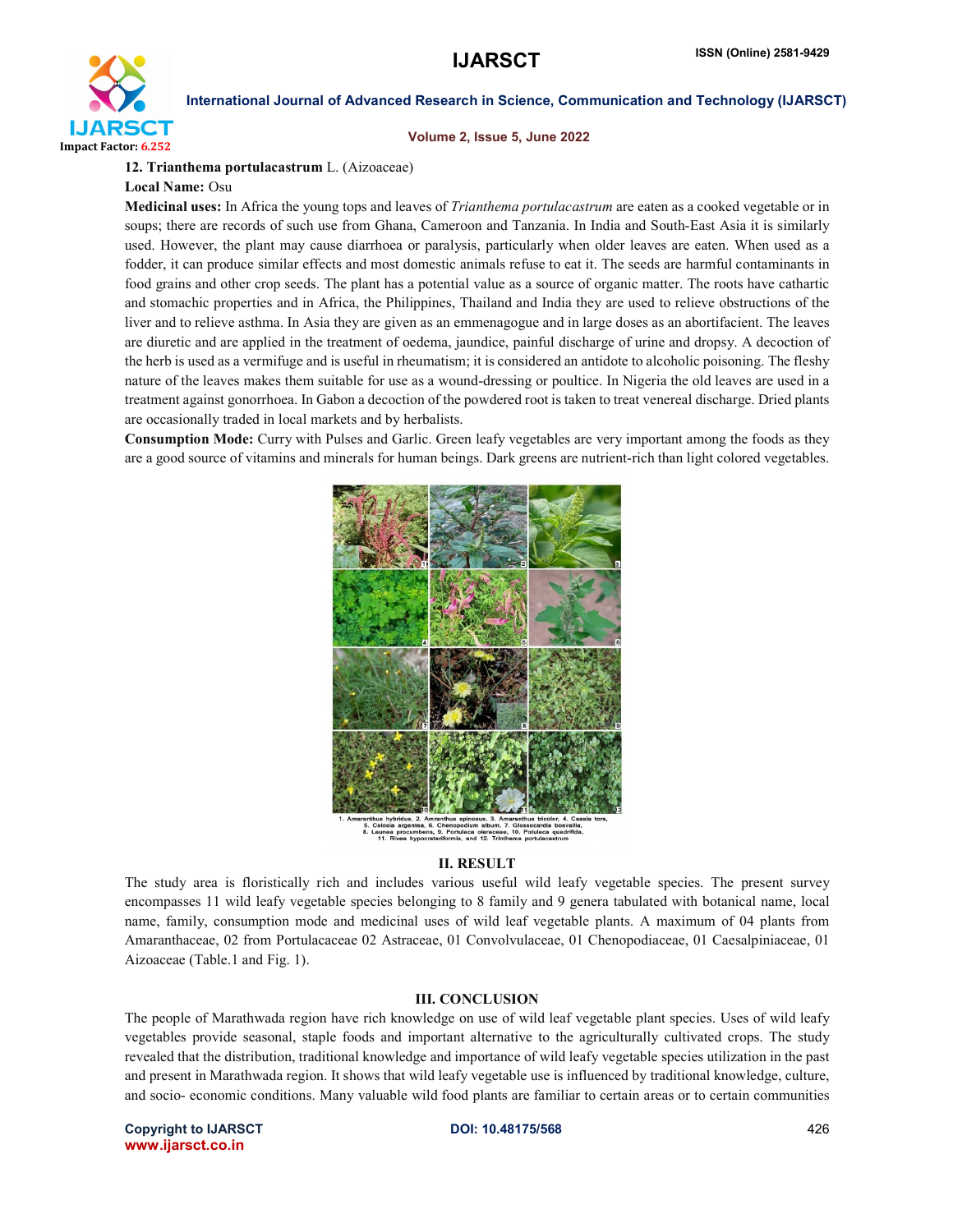

Volume 2, Issue 5, June 2022

12. Trianthema portulacastrum L. (Aizoaceae)

Local Name: Osu

Medicinal uses: In Africa the young tops and leaves of *Trianthema portulacastrum* are eaten as a cooked vegetable or in soups; there are records of such use from Ghana, Cameroon and Tanzania. In India and South-East Asia it is similarly used. However, the plant may cause diarrhoea or paralysis, particularly when older leaves are eaten. When used as a fodder, it can produce similar effects and most domestic animals refuse to eat it. The seeds are harmful contaminants in food grains and other crop seeds. The plant has a potential value as a source of organic matter. The roots have cathartic and stomachic properties and in Africa, the Philippines, Thailand and India they are used to relieve obstructions of the liver and to relieve asthma. In Asia they are given as an emmenagogue and in large doses as an abortifacient. The leaves are diuretic and are applied in the treatment of oedema, jaundice, painful discharge of urine and dropsy. A decoction of the herb is used as a vermifuge and is useful in rheumatism; it is considered an antidote to alcoholic poisoning. The fleshy nature of the leaves makes them suitable for use as a wound-dressing or poultice. In Nigeria the old leaves are used in a treatment against gonorrhoea. In Gabon a decoction of the powdered root is taken to treat venereal discharge. Dried plants are occasionally traded in local markets and by herbalists.

Consumption Mode: Curry with Pulses and Garlic. Green leafy vegetables are very important among the foods as they are a good source of vitamins and minerals for human beings. Dark greens are nutrient-rich than light colored vegetables.



Glossocar<br>10. Potula

### II. RESULT

The study area is floristically rich and includes various useful wild leafy vegetable species. The present survey encompasses 11 wild leafy vegetable species belonging to 8 family and 9 genera tabulated with botanical name, local name, family, consumption mode and medicinal uses of wild leaf vegetable plants. A maximum of 04 plants from Amaranthaceae, 02 from Portulacaceae 02 Astraceae, 01 Convolvulaceae, 01 Chenopodiaceae, 01 Caesalpiniaceae, 01 Aizoaceae (Table.1 and Fig. 1).

#### III. CONCLUSION

The people of Marathwada region have rich knowledge on use of wild leaf vegetable plant species. Uses of wild leafy vegetables provide seasonal, staple foods and important alternative to the agriculturally cultivated crops. The study revealed that the distribution, traditional knowledge and importance of wild leafy vegetable species utilization in the past and present in Marathwada region. It shows that wild leafy vegetable use is influenced by traditional knowledge, culture, and socio- economic conditions. Many valuable wild food plants are familiar to certain areas or to certain communities

Copyright to IJARSCT DOI: 10.48175/568 426 www.ijarsct.co.in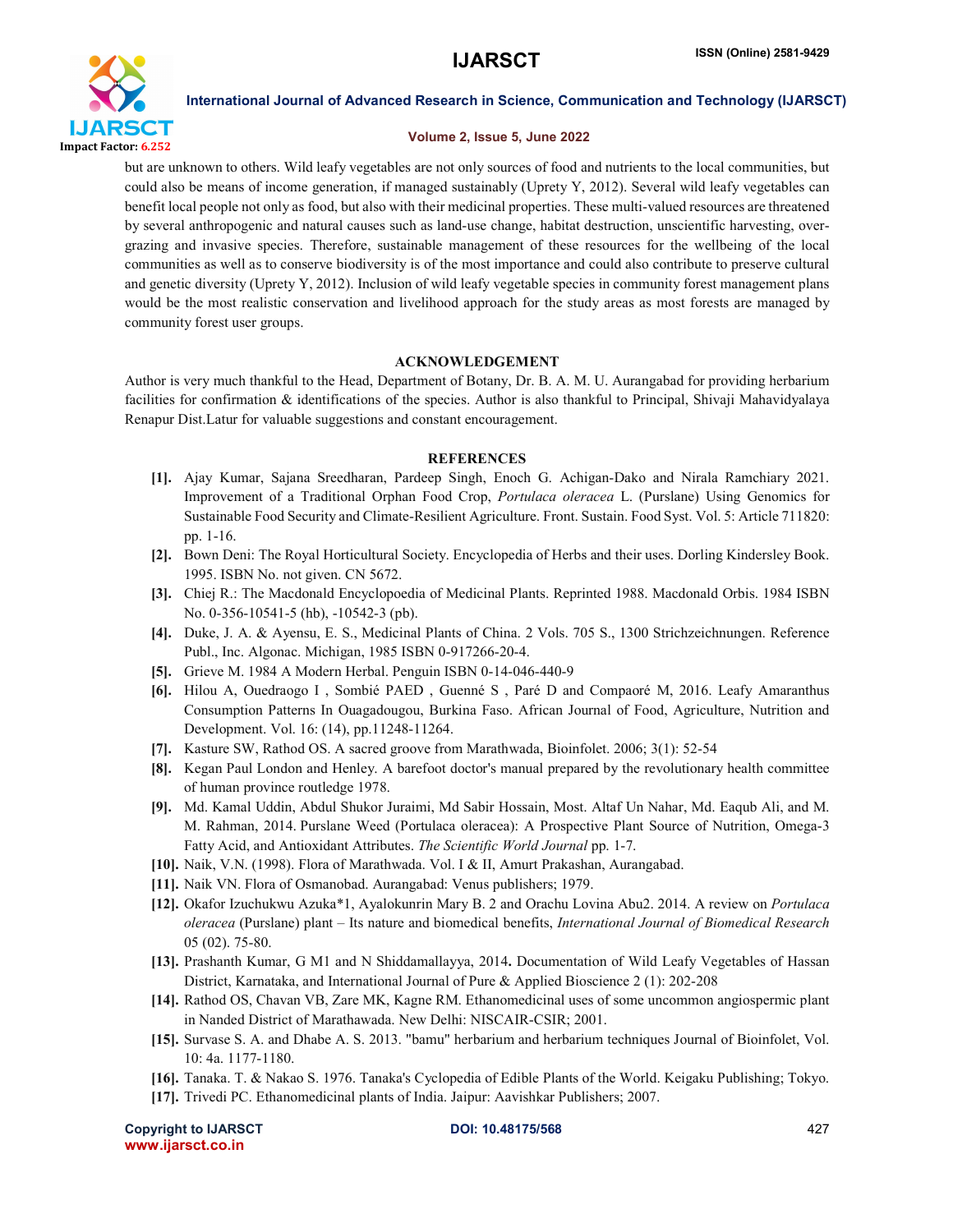

### Volume 2, Issue 5, June 2022

but are unknown to others. Wild leafy vegetables are not only sources of food and nutrients to the local communities, but could also be means of income generation, if managed sustainably (Uprety Y, 2012). Several wild leafy vegetables can benefit local people not only as food, but also with their medicinal properties. These multi-valued resources are threatened by several anthropogenic and natural causes such as land-use change, habitat destruction, unscientific harvesting, overgrazing and invasive species. Therefore, sustainable management of these resources for the wellbeing of the local communities as well as to conserve biodiversity is of the most importance and could also contribute to preserve cultural and genetic diversity (Uprety Y, 2012). Inclusion of wild leafy vegetable species in community forest management plans would be the most realistic conservation and livelihood approach for the study areas as most forests are managed by community forest user groups.

# ACKNOWLEDGEMENT

Author is very much thankful to the Head, Department of Botany, Dr. B. A. M. U. Aurangabad for providing herbarium facilities for confirmation & identifications of the species. Author is also thankful to Principal, Shivaji Mahavidyalaya Renapur Dist.Latur for valuable suggestions and constant encouragement.

### **REFERENCES**

- [1]. Ajay Kumar, Sajana Sreedharan, Pardeep Singh, Enoch G. Achigan-Dako and Nirala Ramchiary 2021. Improvement of a Traditional Orphan Food Crop, *Portulaca oleracea* L. (Purslane) Using Genomics for Sustainable Food Security and Climate-Resilient Agriculture. Front. Sustain. Food Syst. Vol. 5: Article 711820: pp. 1-16.
- [2]. Bown Deni: The Royal Horticultural Society. Encyclopedia of Herbs and their uses. Dorling Kindersley Book. 1995. ISBN No. not given. CN 5672.
- [3]. Chiej R.: The Macdonald Encyclopoedia of Medicinal Plants. Reprinted 1988. Macdonald Orbis. 1984 ISBN No. 0-356-10541-5 (hb), -10542-3 (pb).
- [4]. Duke, J. A. & Ayensu, E. S., Medicinal Plants of China. 2 Vols. 705 S., 1300 Strichzeichnungen. Reference Publ., Inc. Algonac. Michigan, 1985 ISBN 0-917266-20-4.
- [5]. Grieve M. 1984 A Modern Herbal. Penguin ISBN 0-14-046-440-9
- [6]. Hilou A, Ouedraogo I , Sombié PAED , Guenné S , Paré D and Compaoré M, 2016. Leafy Amaranthus Consumption Patterns In Ouagadougou, Burkina Faso. African Journal of Food, Agriculture, Nutrition and Development. Vol. 16: (14), pp.11248-11264.
- [7]. Kasture SW, Rathod OS. A sacred groove from Marathwada, Bioinfolet. 2006; 3(1): 52-54
- [8]. Kegan Paul London and Henley. A barefoot doctor's manual prepared by the revolutionary health committee of human province routledge 1978.
- [9]. Md. Kamal Uddin, Abdul Shukor Juraimi, Md Sabir Hossain, Most. Altaf Un Nahar, Md. Eaqub Ali, and M. M. Rahman, 2014. Purslane Weed (Portulaca oleracea): A Prospective Plant Source of Nutrition, Omega-3 Fatty Acid, and Antioxidant Attributes. *The Scientific World Journal* pp. 1-7.
- [10]. Naik, V.N. (1998). Flora of Marathwada. Vol. I & II, Amurt Prakashan, Aurangabad.
- [11]. Naik VN. Flora of Osmanobad. Aurangabad: Venus publishers; 1979.
- [12]. Okafor Izuchukwu Azuka\*1, Ayalokunrin Mary B. 2 and Orachu Lovina Abu2. 2014. A review on *Portulaca oleracea* (Purslane) plant – Its nature and biomedical benefits, *International Journal of Biomedical Research* 05 (02). 75-80.
- [13]. Prashanth Kumar, G M1 and N Shiddamallayya, 2014. Documentation of Wild Leafy Vegetables of Hassan District, Karnataka, and International Journal of Pure & Applied Bioscience 2 (1): 202-208
- [14]. Rathod OS, Chavan VB, Zare MK, Kagne RM. Ethanomedicinal uses of some uncommon angiospermic plant in Nanded District of Marathawada. New Delhi: NISCAIR-CSIR; 2001.
- [15]. Survase S. A. and Dhabe A. S. 2013. "bamu" herbarium and herbarium techniques Journal of Bioinfolet, Vol. 10: 4a. 1177-1180.
- [16]. Tanaka. T. & Nakao S. 1976. Tanaka's Cyclopedia of Edible Plants of the World. Keigaku Publishing; Tokyo.
- [17]. Trivedi PC. Ethanomedicinal plants of India. Jaipur: Aavishkar Publishers; 2007.